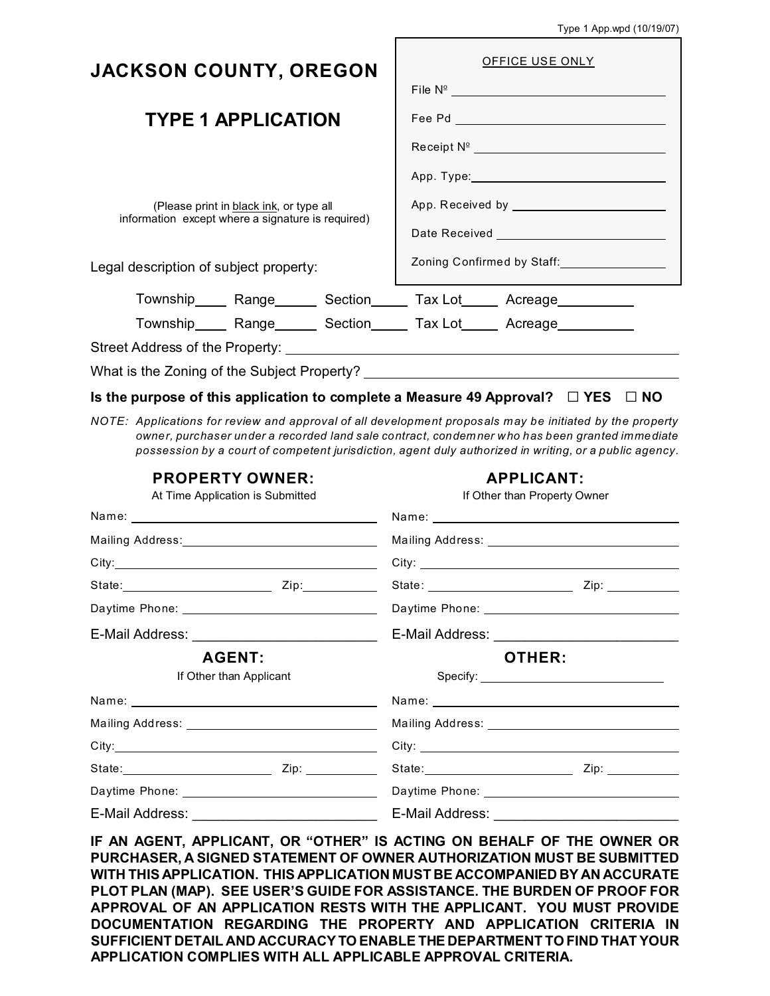|  |  | Type 1 App.wpd (10/19/07) |
|--|--|---------------------------|
|--|--|---------------------------|

| <b>JACKSON COUNTY, OREGON</b>                     | <b>OFFICE USE ONLY</b>                                             |  |
|---------------------------------------------------|--------------------------------------------------------------------|--|
|                                                   |                                                                    |  |
| <b>TYPE 1 APPLICATION</b>                         |                                                                    |  |
|                                                   | Receipt Nº _________________________________                       |  |
|                                                   |                                                                    |  |
| (Please print in black ink, or type all           |                                                                    |  |
| information except where a signature is required) |                                                                    |  |
| Legal description of subject property:            | Zoning Confirmed by Staff: National Continuing Confirmed by Staff: |  |
| Township Range Section Tax Lot Acreage            |                                                                    |  |
| Township Range Section Tax Lot Acreage            |                                                                    |  |
|                                                   |                                                                    |  |
| What is the Zoning of the Subject Property?       |                                                                    |  |

#### **Is the purpose of this application to complete a Measure 49 Approval? □ YES □ NO**

*NOTE: Applications for review and approval of all development proposals may be initiated by the property owner, purchaser under a recorded land sale contract, condemner who has been granted immediate possession by a court of competent jurisdiction, agent duly authorized in writing, or a public agency.*

| <b>PROPERTY OWNER:</b><br>At Time Application is Submitted      |  |        | <b>APPLICANT:</b><br>If Other than Property Owner                                                                                                                                                                             |
|-----------------------------------------------------------------|--|--------|-------------------------------------------------------------------------------------------------------------------------------------------------------------------------------------------------------------------------------|
|                                                                 |  |        |                                                                                                                                                                                                                               |
|                                                                 |  |        |                                                                                                                                                                                                                               |
|                                                                 |  |        |                                                                                                                                                                                                                               |
|                                                                 |  |        |                                                                                                                                                                                                                               |
|                                                                 |  |        |                                                                                                                                                                                                                               |
| E-Mail Address: ______________________________<br><b>AGENT:</b> |  | OTHER: |                                                                                                                                                                                                                               |
|                                                                 |  |        |                                                                                                                                                                                                                               |
|                                                                 |  |        | Name: Name and the second contract of the second contract of the second contract of the second contract of the second contract of the second contract of the second contract of the second contract of the second contract of |
|                                                                 |  |        |                                                                                                                                                                                                                               |
|                                                                 |  |        | City:                                                                                                                                                                                                                         |
|                                                                 |  |        |                                                                                                                                                                                                                               |
|                                                                 |  |        |                                                                                                                                                                                                                               |
| E-Mail Address: ______________________________                  |  |        |                                                                                                                                                                                                                               |

**IF AN AGENT, APPLICANT, OR "OTHER" IS ACTING ON BEHALF OF THE OWNER OR PURCHASER, A SIGNED STATEMENT OF OWNER AUTHORIZATION MUST BE SUBMITTED WITH THIS APPLICATION. THIS APPLICATION MUST BE ACCOMPANIED BY AN ACCURATE PLOT PLAN (MAP). SEE USER'S GUIDE FOR ASSISTANCE. THE BURDEN OF PROOF FOR APPROVAL OF AN APPLICATION RESTS WITH THE APPLICANT. YOU MUST PROVIDE DOCUMENTATION REGARDING THE PROPERTY AND APPLICATION CRITERIA IN SUFFICIENT DETAIL AND ACCURACY TO ENABLE THE DEPARTMENT TO FIND THAT YOUR APPLICATION COMPLIES WITH ALL APPLICABLE APPROVAL CRITERIA.**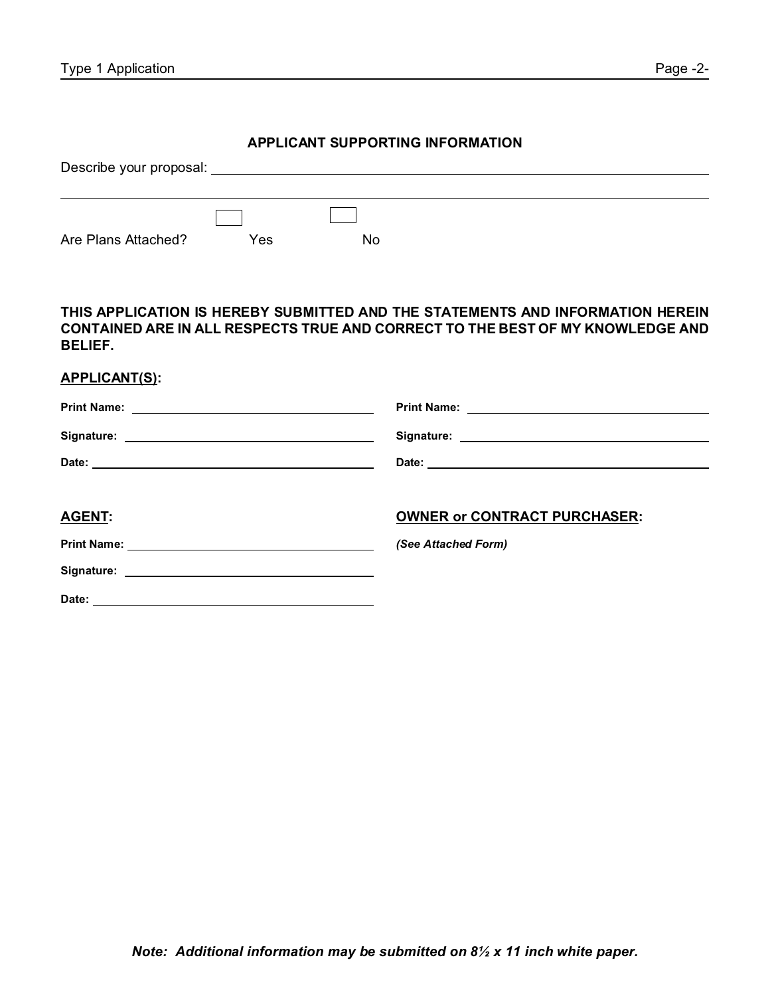#### **APPLICANT SUPPORTING INFORMATION**

| Describe your proposal: |     |     |  |  |
|-------------------------|-----|-----|--|--|
|                         |     |     |  |  |
|                         |     |     |  |  |
| Are Plans Attached?     | Yes | No. |  |  |

### **THIS APPLICATION IS HEREBY SUBMITTED AND THE STATEMENTS AND INFORMATION HEREIN CONTAINED ARE IN ALL RESPECTS TRUE AND CORRECT TO THE BEST OF MY KNOWLEDGE AND BELIEF.**

| <b>APPLICANT(S):</b> |                                     |
|----------------------|-------------------------------------|
|                      | Print Name: <u>Department</u>       |
|                      |                                     |
|                      |                                     |
| <b>AGENT:</b>        | <b>OWNER or CONTRACT PURCHASER:</b> |
|                      | (See Attached Form)                 |
|                      |                                     |
| Date:                |                                     |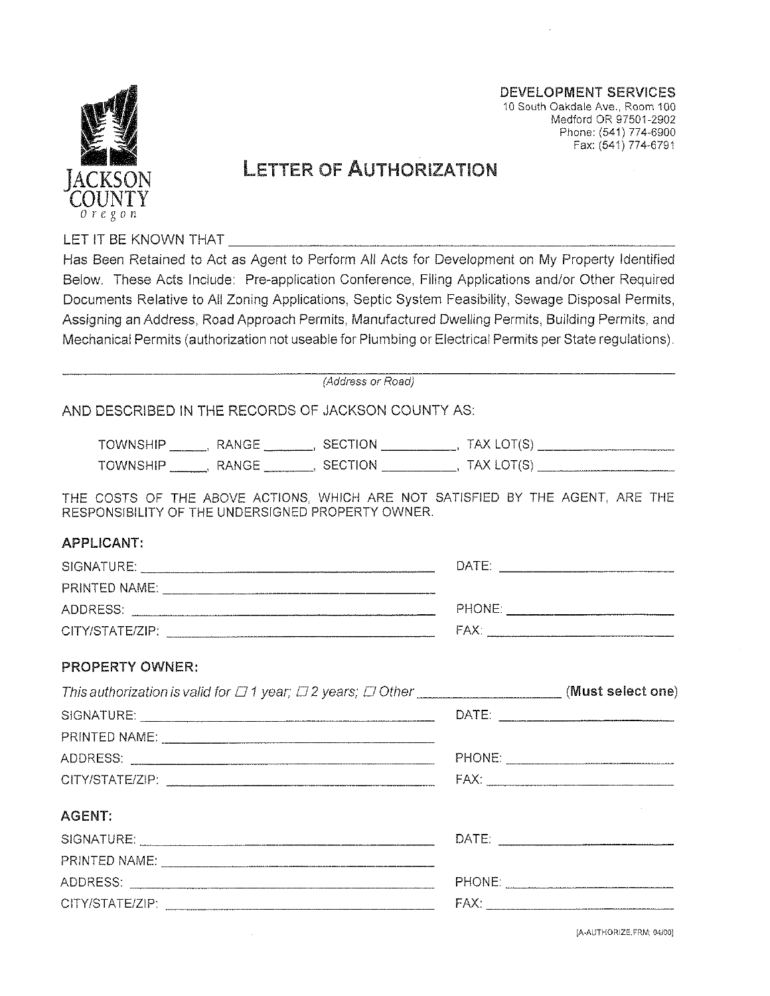

Medford OR 97501-2902 Phone: (541) 774-6900 Fax: (541) 774-6791

**DEVELOPMENT SERVICES** 10 South Oakdale Ave., Room 100

# **LETTER OF AUTHORIZATION**

LET IT BE KNOWN THAT

Has Been Retained to Act as Agent to Perform All Acts for Development on My Property Identified Below. These Acts Include: Pre-application Conference, Filing Applications and/or Other Required Documents Relative to All Zoning Applications, Septic System Feasibility, Sewage Disposal Permits, Assigning an Address, Road Approach Permits, Manufactured Dwelling Permits, Building Permits, and Mechanical Permits (authorization not useable for Plumbing or Electrical Permits per State regulations).

(Address or Road)

AND DESCRIBED IN THE RECORDS OF JACKSON COUNTY AS:

| -WV                                          | ΞВ.<br>∽          | ΙN<br>--<br>ات<br>$\overline{\phantom{a}}$               | $\overline{\phantom{a}}$<br> |
|----------------------------------------------|-------------------|----------------------------------------------------------|------------------------------|
| $-$<br>≘⊔⊞<br>… IMMN≅"<br>__________________ | $\mathbf{r}$<br>. | эN<br><b>Septiments</b><br>$\sim$ $ \sim$<br>---<br>---- |                              |

THE COSTS OF THE ABOVE ACTIONS, WHICH ARE NOT SATISFIED BY THE AGENT, ARE THE RESPONSIBILITY OF THE UNDERSIGNED PROPERTY OWNER.

#### **APPLICANT:**

| SIGNATURE.                                                                                                                                                                                                                                        | DATE:  |
|---------------------------------------------------------------------------------------------------------------------------------------------------------------------------------------------------------------------------------------------------|--------|
| <b>PRINTED NAME:</b>                                                                                                                                                                                                                              |        |
| ADDRESS:                                                                                                                                                                                                                                          | PHONE: |
| CITY/STATE/ZIP:<br>have a statement on the season of the contract of the contract of the contract of the contract of the contract of the contract of the contract of the contract of the contract of the contract of the contract of the contract | FAX.   |

#### **PROPERTY OWNER:**

| This authorization is valid for $\Box$ 1 year; $\Box$ 2 years; $\Box$ Other ___________________________(Must select one) |  |
|--------------------------------------------------------------------------------------------------------------------------|--|
|                                                                                                                          |  |
|                                                                                                                          |  |
|                                                                                                                          |  |
|                                                                                                                          |  |
| AGENT:                                                                                                                   |  |
|                                                                                                                          |  |
|                                                                                                                          |  |
|                                                                                                                          |  |
|                                                                                                                          |  |

[A-AUTHORIZE, FRM; 04/00]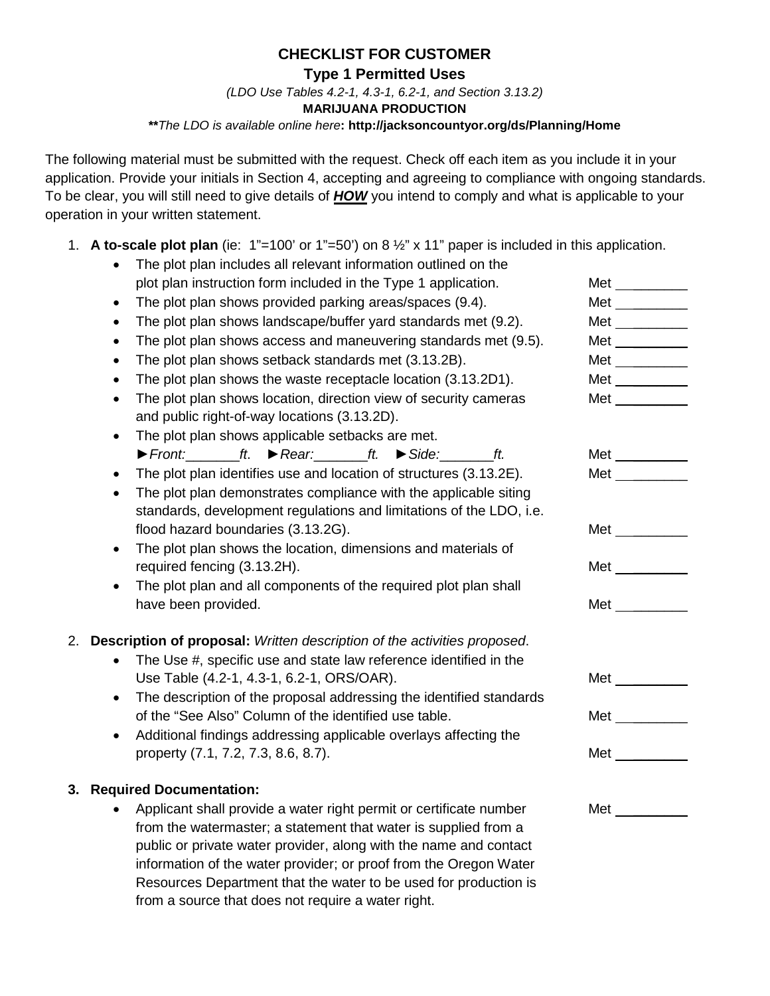## **CHECKLIST FOR CUSTOMER**

**Type 1 Permitted Uses**

*(LDO Use Tables 4.2-1, 4.3-1, 6.2-1, and Section 3.13.2)*

**MARIJUANA PRODUCTION**

#### **\*\****The LDO is available online here***: http://jacksoncountyor.org/ds/Planning/Home**

The following material must be submitted with the request. Check off each item as you include it in your application. Provide your initials in Section 4, accepting and agreeing to compliance with ongoing standards. To be clear, you will still need to give details of *HOW* you intend to comply and what is applicable to your operation in your written statement.

1. **A to-scale plot plan** (ie: 1"=100' or 1"=50') on 8 ½" x 11" paper is included in this application.

|    | The plot plan includes all relevant information outlined on the                                                  |                          |  |
|----|------------------------------------------------------------------------------------------------------------------|--------------------------|--|
|    | plot plan instruction form included in the Type 1 application.                                                   | Met $\_\_$               |  |
|    | The plot plan shows provided parking areas/spaces (9.4).<br>$\bullet$                                            | Met $\qquad \qquad$      |  |
|    | The plot plan shows landscape/buffer yard standards met (9.2).<br>$\bullet$                                      | Met $\frac{1}{1}$        |  |
|    | The plot plan shows access and maneuvering standards met (9.5).<br>$\bullet$                                     | Met $\_\_$               |  |
|    | The plot plan shows setback standards met (3.13.2B).<br>$\bullet$                                                | Met $\frac{1}{2}$        |  |
|    | The plot plan shows the waste receptacle location (3.13.2D1).<br>$\bullet$                                       | Met $\qquad \qquad$      |  |
|    | The plot plan shows location, direction view of security cameras<br>$\bullet$                                    | Met $\qquad$             |  |
|    | and public right-of-way locations (3.13.2D).                                                                     |                          |  |
|    | The plot plan shows applicable setbacks are met.<br>$\bullet$                                                    |                          |  |
|    | $\triangleright$ Front: _________ ft. $\triangleright$ Rear: _________ ft. $\triangleright$ Side: __________ ft. | Met $\_\_$               |  |
|    | The plot plan identifies use and location of structures (3.13.2E).                                               | Met $\qquad \qquad$      |  |
|    | The plot plan demonstrates compliance with the applicable siting<br>$\bullet$                                    |                          |  |
|    | standards, development regulations and limitations of the LDO, i.e.                                              |                          |  |
|    | flood hazard boundaries (3.13.2G).                                                                               | Met $\frac{1}{2}$        |  |
|    | The plot plan shows the location, dimensions and materials of<br>$\bullet$                                       |                          |  |
|    | required fencing (3.13.2H).                                                                                      | Met $\qquad$             |  |
|    | The plot plan and all components of the required plot plan shall<br>$\bullet$                                    |                          |  |
|    | have been provided.                                                                                              | <b>Met</b>               |  |
| 2. | Description of proposal: Written description of the activities proposed.                                         |                          |  |
|    | The Use #, specific use and state law reference identified in the                                                |                          |  |
|    | Use Table (4.2-1, 4.3-1, 6.2-1, ORS/OAR).                                                                        | $Met$ <sub>_______</sub> |  |
|    | The description of the proposal addressing the identified standards<br>$\bullet$                                 |                          |  |
|    | of the "See Also" Column of the identified use table.                                                            | <b>Met</b>               |  |
|    | Additional findings addressing applicable overlays affecting the                                                 |                          |  |
|    | property (7.1, 7.2, 7.3, 8.6, 8.7).                                                                              | Met $\_\_$               |  |
|    |                                                                                                                  |                          |  |
|    | 3. Required Documentation:                                                                                       |                          |  |
|    | Applicant shall provide a water right permit or certificate number                                               | Met $\frac{1}{2}$        |  |
|    | from the watermaster; a statement that water is supplied from a                                                  |                          |  |
|    | public or private water provider, along with the name and contact                                                |                          |  |

information of the water provider; or proof from the Oregon Water Resources Department that the water to be used for production is

from a source that does not require a water right.